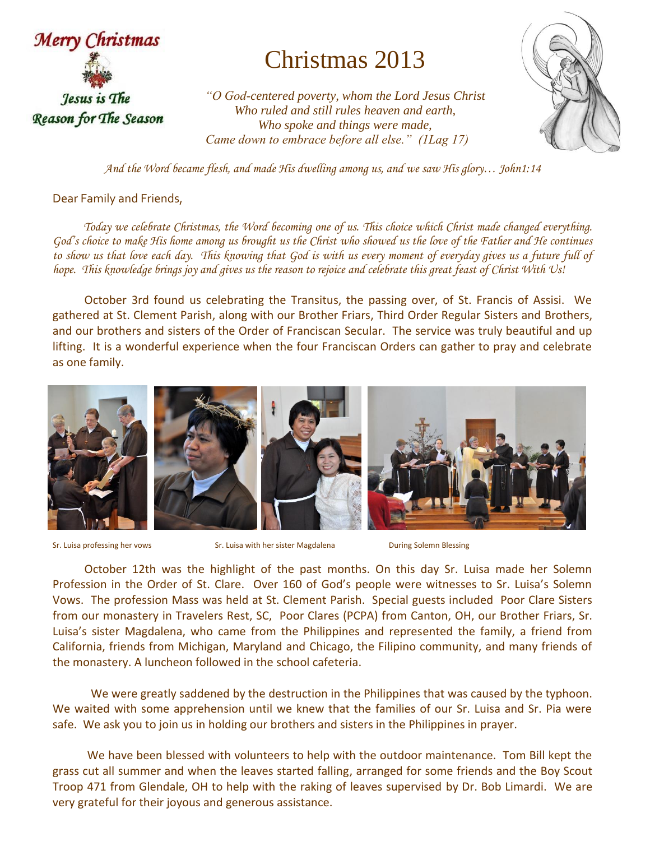

## Christmas 2013

*"O God-centered poverty, whom the Lord Jesus Christ Who ruled and still rules heaven and earth, Who spoke and things were made, Came down to embrace before all else." (1Lag 17)*



*And the Word became flesh, and made His dwelling among us, and we saw His glory… John1:14*

Dear Family and Friends,

 *Today we celebrate Christmas, the Word becoming one of us. This choice which Christ made changed everything. God's choice to make His home among us brought us the Christ who showed us the love of the Father and He continues to show us that love each day. This knowing that God is with us every moment of everyday gives us a future full of hope. This knowledge brings joy and gives us the reason to rejoice and celebrate this great feast of Christ With Us!*

 October 3rd found us celebrating the Transitus, the passing over, of St. Francis of Assisi. We gathered at St. Clement Parish, along with our Brother Friars, Third Order Regular Sisters and Brothers, and our brothers and sisters of the Order of Franciscan Secular. The service was truly beautiful and up lifting. It is a wonderful experience when the four Franciscan Orders can gather to pray and celebrate as one family.



Sr. Luisa professing her vows Sr. Luisa with her sister Magdalena During Solemn Blessing

 October 12th was the highlight of the past months. On this day Sr. Luisa made her Solemn Profession in the Order of St. Clare. Over 160 of God's people were witnesses to Sr. Luisa's Solemn Vows. The profession Mass was held at St. Clement Parish. Special guests included Poor Clare Sisters from our monastery in Travelers Rest, SC, Poor Clares (PCPA) from Canton, OH, our Brother Friars, Sr. Luisa's sister Magdalena, who came from the Philippines and represented the family, a friend from California, friends from Michigan, Maryland and Chicago, the Filipino community, and many friends of the monastery. A luncheon followed in the school cafeteria.

We were greatly saddened by the destruction in the Philippines that was caused by the typhoon. We waited with some apprehension until we knew that the families of our Sr. Luisa and Sr. Pia were safe. We ask you to join us in holding our brothers and sisters in the Philippines in prayer.

 We have been blessed with volunteers to help with the outdoor maintenance. Tom Bill kept the grass cut all summer and when the leaves started falling, arranged for some friends and the Boy Scout Troop 471 from Glendale, OH to help with the raking of leaves supervised by Dr. Bob Limardi. We are very grateful for their joyous and generous assistance.